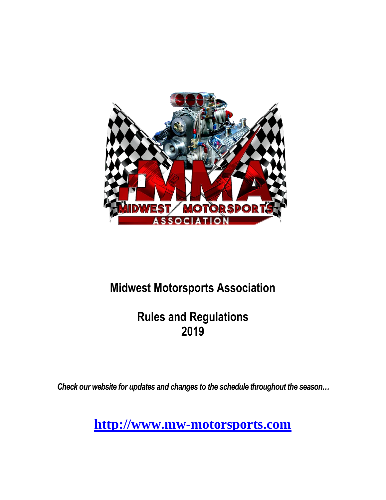

# **Midwest Motorsports Association**

# **Rules and Regulations 2019**

*Check our website for updates and changes to the schedule throughout the season…*

**[http://www.mw-motorsports.com](http://www.mw-motorsports.com/)**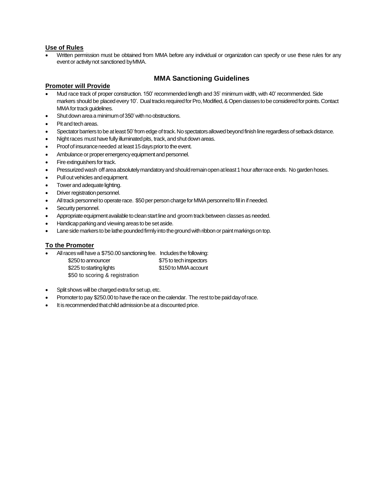## **Use of Rules**

 Written permission must be obtained from MMA before any individual or organization can specify or use these rules for any event or activity not sanctioned by MMA.

## **Promoter will Provide**

## **MMA Sanctioning Guidelines**

- Mud race track of proper construction. 150' recommended length and 35' minimum width, with 40' recommended. Side markers should be placed every 10'. Dual tracks required for Pro, Modified, & Open classes to be considered for points. Contact MMA for track guidelines.
- Shut down area a minimum of 350' with no obstructions.
- Pitandtechareas.
- Spectator barriers to be at least 50' from edge of track. No spectators allowed beyond finish line regardless of setback distance.
- Night races must have fully illuminated pits, track, and shut down areas.
- Proof of insurance needed at least 15 days prior to the event.
- Ambulance or proper emergency equipment and personnel.
- Fire extinguishers for track.
- Pressurized wash off area absolutely mandatory and should remain open at least 1 hour after race ends. No garden hoses.
- Pull out vehicles and equipment.
- Tower and adequate lighting.
- Driver registration personnel.
- All track personnel to operate race. \$50 per person charge for MMA personnel to fill in if needed.
- Security personnel.
- Appropriate equipment available to clean start line and groom track between classes as needed.
- Handicap parking and viewing areas to be set aside.
- Lane side markers to be lathe pounded firmly into the ground with ribbon or paint markings on top.

## **To the Promoter**

- All races will have a \$750.00 sanctioning fee. Includes the following:
	- \$250 to announcer \$75 to tech inspectors \$225 to starting lights \$150 to MMA account \$50 to scoring & registration
- Split shows will be charged extra for set up, etc.
- Promoter to pay \$250.00 to have the race on the calendar. The rest to be paid day of race.
- It is recommended that child admission be at a discounted price.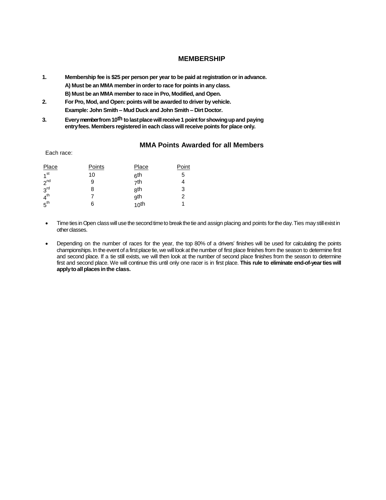## **MEMBERSHIP**

- **1. Membership fee is \$25 per person per year to be paid at registration or in advance. A) Must be an MMA member in order to race for points in any class. B) Must be an MMA member to race in Pro, Modified, and Open.**
- **2. For Pro, Mod, and Open: points will be awarded to driver by vehicle. Example: John Smith – Mud Duck and John Smith – Dirt Doctor.**
- **3. Everymemberfrom10th tolastplacewillreceive1 pointforshowingupand paying entryfees. Members registered in each class will receive points for place only.**

## **MMA Points Awarded for all Members**

Each race:

| Place           | Points | <b>Place</b>     | Point          |
|-----------------|--------|------------------|----------------|
| 1 <sup>st</sup> | 10     | 6th              | 5              |
| $2^{nd}$        | 9      | 7 <sup>th</sup>  | 4              |
| 3 <sup>rd</sup> | 8      | 8 <sup>th</sup>  | 3              |
| 4 <sup>th</sup> |        | gth              | $\overline{2}$ |
| $5^{\text{th}}$ | 6      | 10 <sup>th</sup> | 1              |

- Time ties in Open class will use the second time to break the tie and assign placing and points for the day. Ties may still exist in other classes.
- Depending on the number of races for the year, the top 80% of a drivers' finishes will be used for calculating the points championships. In the event of a first place tie, we will look at the number of first place finishes from the season to determine first and second place. If a tie still exists, we will then look at the number of second place finishes from the season to determine first and second place. We will continue this until only one racer is in first place. **This rule to eliminate end-of-yearties will applytoallplacesinthe class.**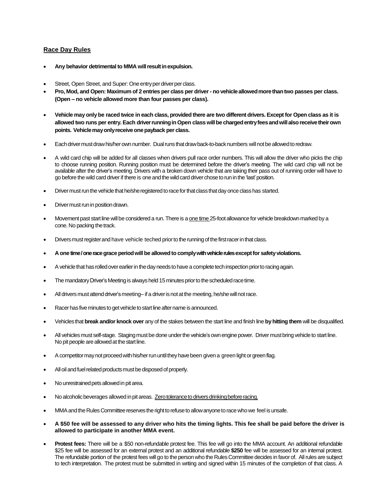## **Race Day Rules**

- Any behavior detrimental to MMA will result in expulsion.
- Street, Open Street, and Super: One entry per driver per class.
- **Pro, Mod, and Open: Maximum of 2 entries per class per driver - novehicleallowedmorethantwo passes per class. (Open – no vehicle allowed more than four passes per class).**
- **Vehicle may only be raced twice in each class, provided there are two different drivers. Except for Open class as it is allowed two runs per entry. Each driverrunninginOpen classwillbe chargedentryfeesandwillalsoreceivetheirown points. Vehiclemayonlyreceiveonepayback per class.**
- Each driver must draw his/her own number. Dual runs that draw back-to-back numbers will not be allowed to redraw.
- A wild card chip will be added for all classes when drivers pull race order numbers. This will allow the driver who picks the chip to choose running position. Running position must be determined before the driver's meeting. The wild card chip will not be available after the driver's meeting. Drivers with a broken down vehicle that are taking their pass out of running order will have to go before the wild card driver if there is one and the wild card driver chose to run in the 'last' position.
- Driver must run the vehicle that he/she registered to race for that class that day once class has started.
- Driver must run in position drawn.
- Movement past start line will be considered a run. There is a one time 25-foot allowance for vehicle breakdown marked by a cone. No packing the track.
- Drivers must register and have vehicle teched prior to the running of the first racer in that class.
- **A one time / one racegraceperiodwill be allowedto complywith vehicle rules exceptfor safetyviolations.**
- A vehicle that has rolled over earlier in the day needs to have a complete tech inspection prior to racing again.
- The mandatory Driver's Meeting is always held 15 minutes prior to the scheduled race time.
- All drivers must attend driver's meeting- if a driver is not at the meeting, he/she will not race.
- Racer has five minutes to get vehicle to start line after name is announced.
- Vehicles that **break and/or knock over** any of the stakes between the start line and finish line **by hitting them** will be disqualified.
- All vehicles must self-stage. Staging must be done under the vehicle's own engine power. Driver must bring vehicle to start line. No pit people are allowed at the start line.
- A competitor may not proceed with his/her run until they have been given a green light or green flag.
- All oil and fuel related products must be disposed of properly.
- No unrestrained pets allowed in pit area.
- No alcoholic beverages allowed in pit areas. Zero tolerance to drivers drinking before racing.
- MMA and the Rules Committee reserves the right to refuse to allow anyone to race who we feel is unsafe.
- **A \$50 fee will be assessed to any driver who hits the timing lights. This fee shall be paid before the driver is allowed to participate in another MMA event.**
- **Protest fees:** There will be a \$50 non-refundable protest fee. This fee will go into the MMA account. An additional refundable \$25 fee will be assessed for an external protest and an additional refundable **\$250** fee will be assessed for an internal protest. The refundable portion of the protest fees will go to the person who the Rules Committee decides in favor of. Allrules are subject to tech interpretation. The protest must be submitted in writing and signed within 15 minutes of the completion of that class. A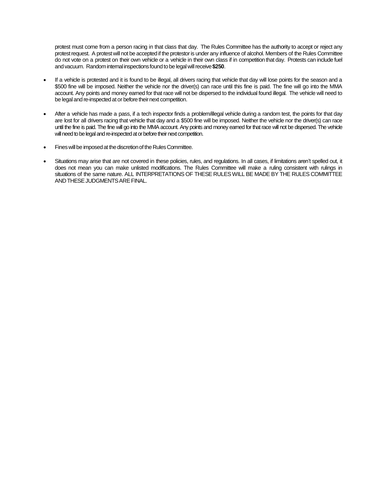protest must come from a person racing in that class that day. The Rules Committee has the authority to accept or reject any protest request. A protest will not be accepted if the protestor is under any influence of alcohol. Members of the Rules Committee do not vote on a protest on their own vehicle or a vehicle in their own class if in competitionthat day. Protests can include fuel andvacuum. Randominternal inspectionsfoundtobe legalwillreceive**\$250**.

- If a vehicle is protested and it is found to be illegal, all drivers racing that vehicle that day will lose points for the season and a \$500 fine will be imposed. Neither the vehicle nor the driver(s) can race until this fine is paid. The fine will go into the MMA account. Any points and money earned for that race will not be dispersed to the individual found illegal. The vehicle will need to be legal and re-inspected at or before their next competition.
- After a vehicle has made a pass, if a tech inspector finds a problem/illegal vehicle during a random test, the points for that day are lost for all drivers racing that vehicle that day and a \$500 fine will be imposed. Neither the vehicle nor the driver(s) can race until the fine is paid. The fine will go into the MMA account. Any points and money earned for that race will not be dispersed. The vehicle will need to be legal and re-inspected at or before their next competition.
- Fines will be imposed at the discretion of the Rules Committee.
- Situations may arise that are not covered in these policies, rules, and regulations. In all cases, if limitations aren't spelled out, it does not mean you can make unlisted modifications. The Rules Committee will make a ruling consistent with rulings in situations of the same nature. ALL INTERPRETATIONS OF THESE RULES WILL BE MADE BY THE RULES COMMITTEE AND THESE JUDGMENTS ARE FINAL.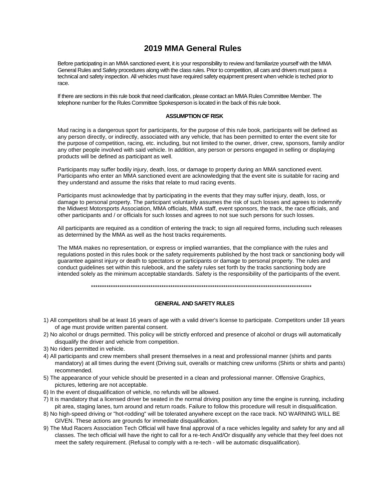# **2019 MMA General Rules**

Before participating in an MMA sanctioned event, it is your responsibility to review and familiarize yourself with the MMA General Rules and Safety procedures along with the class rules. Prior to competition, all cars and drivers must pass a technical and safety inspection. All vehicles must have required safety equipment present when vehicle is teched prior to race.

If there are sections in this rule book that need clarification, please contact an MMA Rules Committee Member. The telephone number for the Rules Committee Spokesperson is located in the back of this rule book.

#### **ASSUMPTION OF RISK**

Mud racing is a dangerous sport for participants, for the purpose of this rule book, participants will be defined as any person directly, or indirectly, associated with any vehicle, that has been permitted to enter the event site for the purpose of competition, racing, etc. including, but not limited to the owner, driver, crew, sponsors, family and/or any other people involved with said vehicle. In addition, any person or persons engaged in selling or displaying products will be defined as participant as well.

Participants may suffer bodily injury, death, loss, or damage to property during an MMA sanctioned event. Participants who enter an MMA sanctioned event are acknowledging that the event site is suitable for racing and they understand and assume the risks that relate to mud racing events.

Participants must acknowledge that by participating in the events that they may suffer injury, death, loss, or damage to personal property. The participant voluntarily assumes the risk of such losses and agrees to indemnify the Midwest Motorsports Association, MMA officials, MMA staff, event sponsors, the track, the race officials, and other participants and / or officials for such losses and agrees to not sue such persons for such losses.

All participants are required as a condition of entering the track; to sign all required forms, including such releases as determined by the MMA as well as the host tracks requirements.

The MMA makes no representation, or express or implied warranties, that the compliance with the rules and regulations posted in this rules book or the safety requirements published by the host track or sanctioning body will guarantee against injury or death to spectators or participants or damage to personal property. The rules and conduct guidelines set within this rulebook, and the safety rules set forth by the tracks sanctioning body are intended solely as the minimum acceptable standards. Safety is the responsibility of the participants of the event.

#### \*\*\*\*\*\*\*\*\*\*\*\*\*\*\*\*\*\*\*\*\*\*\*\*\*\*\*\*\*\*\*\*\*\*\*\*\*\*\*\*\*\*\*\*\*\*\*\*\*\*\*\*\*\*\*\*\*\*\*\*\*\*\*\*\*\*\*\*\*\*\*\*\*\*\*\*\*\*\*\*\*\*\*\*\*\*\*\*\*\*\*\*\*\*\*\*\*\*\*\*

#### **GENERAL AND SAFETY RULES**

- 1) All competitors shall be at least 16 years of age with a valid driver's license to participate. Competitors under 18 years of age must provide written parental consent.
- 2) No alcohol or drugs permitted. This policy will be strictly enforced and presence of alcohol or drugs will automatically disqualify the driver and vehicle from competition.
- 3) No riders permitted in vehicle.
- 4) All participants and crew members shall present themselves in a neat and professional manner (shirts and pants mandatory) at all times during the event (Driving suit, overalls or matching crew uniforms (Shirts or shirts and pants) recommended.
- 5) The appearance of your vehicle should be presented in a clean and professional manner. Offensive Graphics, pictures, lettering are not acceptable.
- 6) In the event of disqualification of vehicle, no refunds will be allowed.
- 7) It is mandatory that a licensed driver be seated in the normal driving position any time the engine is running, including pit area, staging lanes, turn around and return roads. Failure to follow this procedure will result in disqualification.
- 8) No high-speed driving or "hot-rodding" will be tolerated anywhere except on the race track. NO WARNING WILL BE GIVEN. These actions are grounds for immediate disqualification.
- 9) The Mud Racers Association Tech Official will have final approval of a race vehicles legality and safety for any and all classes. The tech official will have the right to call for a re-tech And/Or disqualify any vehicle that they feel does not meet the safety requirement. (Refusal to comply with a re-tech - will be automatic disqualification).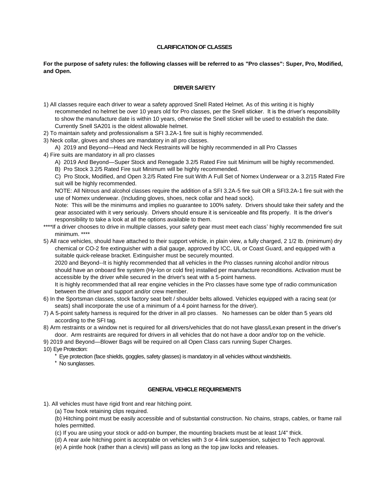#### **CLARIFICATION OF CLASSES**

#### **For the purpose of safety rules: the following classes will be referred to as "Pro classes": Super, Pro, Modified, and Open.**

#### **DRIVER SAFETY**

- 1) All classes require each driver to wear a safety approved Snell Rated Helmet. As of this writing it is highly recommended no helmet be over 10 years old for Pro classes, per the Snell sticker. It is the driver's responsibility to show the manufacture date is within 10 years, otherwise the Snell sticker will be used to establish the date. Currently Snell SA201 is the oldest allowable helmet.
- 2) To maintain safety and professionalism a SFI 3.2A-1 fire suit is highly recommended.
- 3) Neck collar, gloves and shoes are mandatory in all pro classes.
- A) 2019 and Beyond—Head and Neck Restraints will be highly recommended in all Pro Classes
- 4) Fire suits are mandatory in all pro classes
	- A) 2019 And Beyond—Super Stock and Renegade 3.2/5 Rated Fire suit Minimum will be highly recommended.
	- B) Pro Stock 3.2/5 Rated Fire suit Minimum will be highly recommended.

C) Pro Stock, Modified, and Open 3.2/5 Rated Fire suit With A Full Set of Nomex Underwear or a 3.2/15 Rated Fire suit will be highly recommended.

NOTE: All Nitrous and alcohol classes require the addition of a SFI 3.2A-5 fire suit OR a SFI3.2A-1 fire suit with the use of Nomex underwear. (Including gloves, shoes, neck collar and head sock).

Note: This will be the minimums and implies no guarantee to 100% safety. Drivers should take their safety and the gear associated with it very seriously. Drivers should ensure it is serviceable and fits properly. It is the driver's responsibility to take a look at all the options available to them.

- \*\*\*\*If a driver chooses to drive in multiple classes, your safety gear must meet each class' highly recommended fire suit minimum. \*\*\*\*
- 5) All race vehicles, should have attached to their support vehicle, in plain view, a fully charged, 2 1/2 Ib. (minimum) dry chemical or CO-2 fire extinguisher with a dial gauge, approved by ICC, UL or Coast Guard, and equipped with a suitable quick-release bracket. Extinguisher must be securely mounted.

2020 and Beyond--It is highly recommended that all vehicles in the Pro classes running alcohol and/or nitrous should have an onboard fire system (Hy-lon or cold fire) installed per manufacture reconditions. Activation must be accessible by the driver while secured in the driver's seat with a 5-point harness.

It is highly recommended that all rear engine vehicles in the Pro classes have some type of radio communication between the driver and support and/or crew member.

- 6) In the Sportsman classes, stock factory seat belt / shoulder belts allowed. Vehicles equipped with a racing seat (or seats) shall incorporate the use of a minimum of a 4 point harness for the driver).
- 7) A 5-point safety harness is required for the driver in all pro classes. No harnesses can be older than 5 years old according to the SFI tag.
- 8) Arm restraints or a window net is required for all drivers/vehicles that do not have glass/Lexan present in the driver's door. Arm restraints are required for drivers in all vehicles that do not have a door and/or top on the vehicle.

9) 2019 and Beyond—Blower Bags will be required on all Open Class cars running Super Charges.

- 10) Eye Protection:
	- \* Eye protection (face shields, goggles, safety glasses) is mandatory in all vehicles without windshields.
	- \* No sunglasses.

## **GENERAL VEHICLE REQUIREMENTS**

- 1). All vehicles must have rigid front and rear hitching point.
	- (a) Tow hook retaining clips required.

(b) Hitching point must be easily accessible and of substantial construction. No chains, straps, cables, or frame rail holes permitted.

- (c) If you are using your stock or add-on bumper, the mounting brackets must be at least 1/4" thick.
- (d) A rear axle hitching point is acceptable on vehicles with 3 or 4-link suspension, subject to Tech approval.
- (e) A pintle hook (rather than a clevis) will pass as long as the top jaw locks and releases.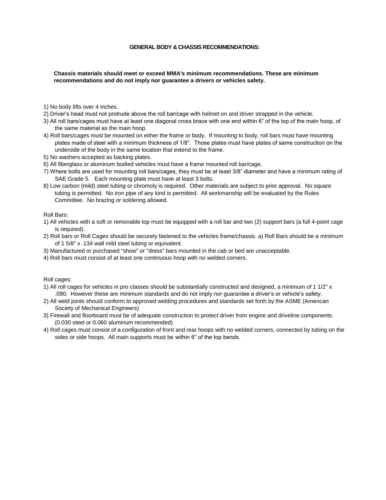#### **GENERAL BODY & CHASSIS RECOMMENDATIONS:**

#### **Chassis materials should meet or exceed MMA's minimum recommendations. These are minimum recommendations and do not imply nor guarantee a drivers or vehicles safety.**

- 1) No body lifts over 4 inches.
- 2) Driver's head must not protrude above the roll bar/cage with helmet on and driver strapped in the vehicle.
- 3) All roll bars/cages must have at least one diagonal cross brace with one end within 6" of the top of the main hoop, of the same material as the main hoop.
- 4) Roll bars/cages must be mounted on either the frame or body. If mounting to body, roll bars must have mounting plates made of steel with a minimum thickness of 1/8". Those plates must have plates of same construction on the underside of the body in the same location that extend to the frame.
- 5) No washers accepted as backing plates.
- 6) All fiberglass or aluminum bodied vehicles must have a frame mounted roll bar/cage.
- 7) Where bolts are used for mounting roll bars/cages, they must be at least 3/8" diameter and have a minimum rating of SAE Grade 5. Each mounting plate must have at least 3 bolts.
- 8) Low carbon (mild) steel tubing or chromoly is required. Other materials are subject to prior approval. No square tubing is permitted. No iron pipe of any kind is permitted. All workmanship will be evaluated by the Rules Committee. No brazing or soldering allowed.

#### Roll Bars:

- 1) All vehicles with a soft or removable top must be equipped with a roll bar and two (2) support bars (a full 4-point cage is required).
- 2) Roll bars or Roll Cages should be securely fastened to the vehicles frame/chassis. a) Roll Bars should be a minimum of 1 5/8" x .134 wall mild steel tubing or equivalent.
- 3) Manufactured or purchased "show" or "dress" bars mounted in the cab or bed are unacceptable.
- 4) Roll bars must consist of at least one continuous hoop with no welded corners.

Roll cages:

- 1) All roll cages for vehicles in pro classes should be substantially constructed and designed, a minimum of 1 1/2" x .090. However these are minimum standards and do not imply nor guarantee a driver's or vehicle's safety.
- 2) All weld joints should conform to approved welding procedures and standards set forth by the ASME (American Society of Mechanical Engineers)
- 3) Firewall and floorboard must be of adequate construction to protect driver from engine and driveline components. (0.030 steel or 0.060 aluminum recommended)
- 4) Roll cages must consist of a configuration of front and rear hoops with no welded corners, connected by tubing on the sides or side hoops. All main supports must be within 6" of the top bends.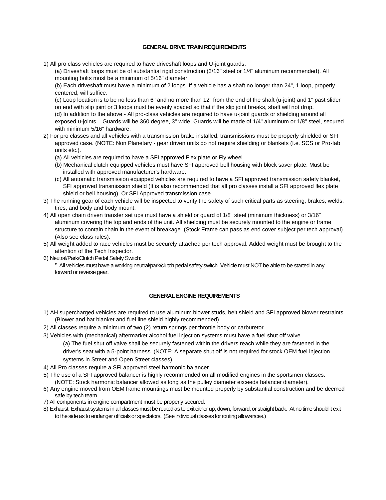#### **GENERAL DRIVE TRAIN REQUIREMENTS**

1) All pro class vehicles are required to have driveshaft loops and U-joint guards.

(a) Driveshaft loops must be of substantial rigid construction (3/16" steel or 1/4" aluminum recommended). All mounting bolts must be a minimum of 5/16" diameter.

(b) Each driveshaft must have a minimum of 2 loops. If a vehicle has a shaft no longer than 24", 1 loop, properly centered, will suffice.

(c) Loop location is to be no less than 6" and no more than 12" from the end of the shaft (u-joint) and 1" past slider on end with slip joint or 3 loops must be evenly spaced so that if the slip joint breaks, shaft will not drop.

(d) In addition to the above - All pro-class vehicles are required to have u-joint guards or shielding around all exposed u-joints. . Guards will be 360 degree, 3" wide. Guards will be made of 1/4" aluminum or 1/8" steel, secured with minimum 5/16" hardware.

- 2) For pro classes and all vehicles with a transmission brake installed, transmissions must be properly shielded or SFI approved case. (NOTE: Non Planetary - gear driven units do not require shielding or blankets (I.e. SCS or Pro-fab units etc.).
	- (a) All vehicles are required to have a SFI approved Flex plate or Fly wheel.
	- (b) Mechanical clutch equipped vehicles must have SFI approved bell housing with block saver plate. Must be installed with approved manufacturer's hardware.
	- (c) All automatic transmission equipped vehicles are required to have a SFI approved transmission safety blanket, SFI approved transmission shield (It is also recommended that all pro classes install a SFI approved flex plate shield or bell housing). Or SFI Approved transmission case.
- 3) The running gear of each vehicle will be inspected to verify the safety of such critical parts as steering, brakes, welds, tires, and body and body mount.
- 4) All open chain driven transfer set ups must have a shield or guard of 1/8" steel (minimum thickness) or 3/16" aluminum covering the top and ends of the unit. All shielding must be securely mounted to the engine or frame structure to contain chain in the event of breakage. (Stock Frame can pass as end cover subject per tech approval) (Also see class rules).
- 5) All weight added to race vehicles must be securely attached per tech approval. Added weight must be brought to the attention of the Tech Inspector.
- 6) Neutral/Park/Clutch Pedal Safety Switch:
	- \* All vehicles must have a working neutral/park/clutch pedal safety switch. Vehicle must NOT be able to be started in any forward or reverse gear.

## **GENERAL ENGINE REQUIREMENTS**

- 1) AH supercharged vehicles are required to use aluminum blower studs, belt shield and SFI approved blower restraints. (Blower and hat blanket and fuel line shield highly recommended)
- 2) All classes require a minimum of two (2) return springs per throttle body or carburetor.
- 3) Vehicles with (mechanical) aftermarket alcohol fuel injection systems must have a fuel shut off valve.

(a) The fuel shut off valve shall be securely fastened within the drivers reach while they are fastened in the driver's seat with a 5-point harness. (NOTE: A separate shut off is not required for stock OEM fuel injection systems in Street and Open Street classes).

- 4) All Pro classes require a SFI approved steel harmonic balancer
- 5) The use of a SFI approved balancer is highly recommended on all modified engines in the sportsmen classes. (NOTE: Stock harmonic balancer allowed as long as the pulley diameter exceeds balancer diameter).
- 6) Any engine moved from OEM frame mountings must be mounted properly by substantial construction and be deemed safe by tech team.
- 7) All components in engine compartment must be properly secured.
- 8) Exhaust: Exhaust systems in all classes must be routed as to exit either up, down, forward, or straight back. At no time should it exit to the side as to endanger officials or spectators. (See individual classes for routing allowances.)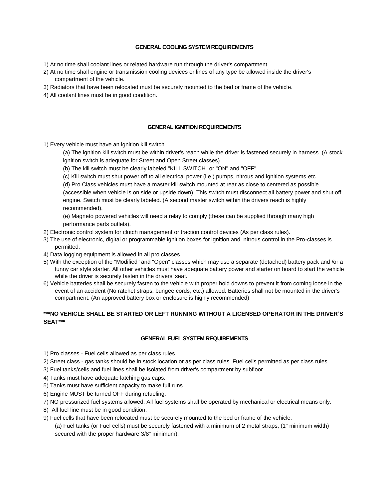#### **GENERAL COOLING SYSTEM REQUIREMENTS**

- 1) At no time shall coolant lines or related hardware run through the driver's compartment.
- 2) At no time shall engine or transmission cooling devices or lines of any type be allowed inside the driver's compartment of the vehicle.
- 3) Radiators that have been relocated must be securely mounted to the bed or frame of the vehicle.
- 4) All coolant lines must be in good condition.

#### **GENERAL IGNITION REQUIREMENTS**

- 1) Every vehicle must have an ignition kill switch.
	- (a) The ignition kill switch must be within driver's reach while the driver is fastened securely in harness. (A stock ignition switch is adequate for Street and Open Street classes).
	- (b) The kill switch must be clearly labeled "KILL SWITCH" or "ON" and "OFF".
	- (c) Kill switch must shut power off to all electrical power (i.e.) pumps, nitrous and ignition systems etc.

(d) Pro Class vehicles must have a master kill switch mounted at rear as close to centered as possible (accessible when vehicle is on side or upside down). This switch must disconnect all battery power and shut off engine. Switch must be clearly labeled. (A second master switch within the drivers reach is highly recommended).

(e) Magneto powered vehicles will need a relay to comply (these can be supplied through many high performance parts outlets).

- 2) Electronic control system for clutch management or traction control devices (As per class rules).
- 3) The use of electronic, digital or programmable ignition boxes for ignition and nitrous control in the Pro-classes is permitted.
- 4) Data logging equipment is allowed in all pro classes.
- 5) With the exception of the "Modified" and "Open" classes which may use a separate (detached) battery pack and /or a funny car style starter. All other vehicles must have adequate battery power and starter on board to start the vehicle while the driver is securely fasten in the drivers' seat.
- 6) Vehicle batteries shall be securely fasten to the vehicle with proper hold downs to prevent it from coming loose in the event of an accident (No ratchet straps, bungee cords, etc.) allowed. Batteries shall not be mounted in the driver's compartment. (An approved battery box or enclosure is highly recommended)

## **\*\*\*NO VEHICLE SHALL BE STARTED OR LEFT RUNNING WITHOUT A LICENSED OPERATOR IN THE DRIVER'S SEAT\*\*\***

#### **GENERAL FUEL SYSTEM REQUIREMENTS**

- 1) Pro classes Fuel cells allowed as per class rules
- 2) Street class gas tanks should be in stock location or as per class rules. Fuel cells permitted as per class rules.
- 3) Fuel tanks/cells and fuel lines shall be isolated from driver's compartment by subfloor.
- 4) Tanks must have adequate latching gas caps.
- 5) Tanks must have sufficient capacity to make full runs.
- 6) Engine MUST be turned OFF during refueling.
- 7) NO pressurized fuel systems allowed. All fuel systems shall be operated by mechanical or electrical means only.
- 8) All fuel line must be in good condition.
- 9) Fuel cells that have been relocated must be securely mounted to the bed or frame of the vehicle.
	- (a) Fuel tanks (or Fuel cells) must be securely fastened with a minimum of 2 metal straps, (1" minimum width) secured with the proper hardware 3/8" minimum).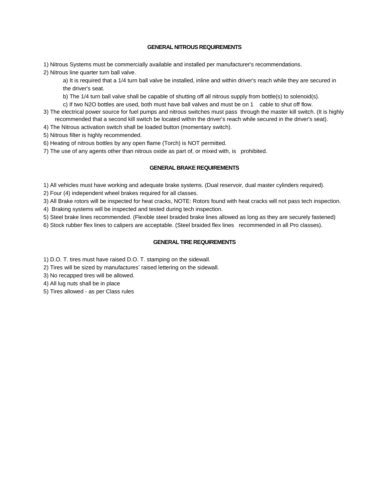#### **GENERAL NITROUS REQUIREMENTS**

1) Nitrous Systems must be commercially available and installed per manufacturer's recommendations.

2) Nitrous line quarter turn ball valve.

a) It is required that a 1/4 turn ball valve be installed, inline and within driver's reach while they are secured in the driver's seat.

b) The 1/4 turn ball valve shall be capable of shutting off all nitrous supply from bottle(s) to solenoid(s).

c) If two N2O bottles are used, both must have ball valves and must be on 1 cable to shut off flow.

- 3) The electrical power source for fuel pumps and nitrous switches must pass through the master kill switch. (It is highly recommended that a second kill switch be located within the driver's reach while secured in the driver's seat).
- 4) The Nitrous activation switch shall be loaded button (momentary switch).
- 5) Nitrous filter is highly recommended.
- 6) Heating of nitrous bottles by any open flame (Torch) is NOT permitted.
- 7) The use of any agents other than nitrous oxide as part of, or mixed with, is prohibited.

#### **GENERAL BRAKE REQUIREMENTS**

1) All vehicles must have working and adequate brake systems. (Dual reservoir, dual master cylinders required).

2) Four (4) independent wheel brakes required for all classes.

3) All Brake rotors will be inspected for heat cracks, NOTE: Rotors found with heat cracks will not pass tech inspection.

4) Braking systems will be inspected and tested during tech inspection.

5) Steel brake lines recommended. (Flexible steel braided brake lines allowed as long as they are securely fastened)

6) Stock rubber flex lines to calipers are acceptable. (Steel braided flex lines recommended in all Pro classes).

#### **GENERAL TIRE REQUIREMENTS**

1) D.O. T. tires must have raised D.O. T. stamping on the sidewall.

2) Tires will be sized by manufactures' raised lettering on the sidewall.

3) No recapped tires will be allowed.

- 4) All lug nuts shall be in place
- 5) Tires allowed as per Class rules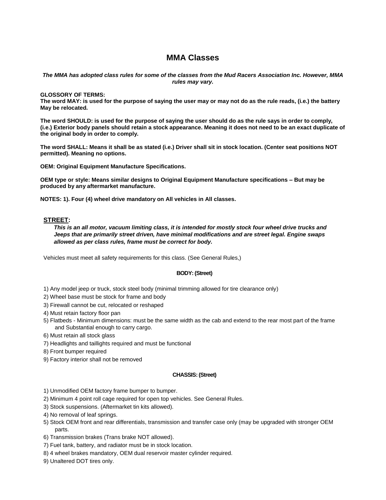# **MMA Classes**

*The MMA has adopted class rules for some of the classes from the Mud Racers Association Inc. However, MMA rules may vary.*

**GLOSSORY OF TERMS:** 

**The word MAY: is used for the purpose of saying the user may or may not do as the rule reads, (i.e.) the battery May be relocated.** 

**The word SHOULD: is used for the purpose of saying the user should do as the rule says in order to comply, (i.e.) Exterior body panels should retain a stock appearance. Meaning it does not need to be an exact duplicate of the original body in order to comply.** 

**The word SHALL: Means it shall be as stated (i.e.) Driver shall sit in stock location. (Center seat positions NOT permitted). Meaning no options.** 

**OEM: Original Equipment Manufacture Specifications.** 

**OEM type or style: Means similar designs to Original Equipment Manufacture specifications – But may be produced by any aftermarket manufacture.** 

**NOTES: 1). Four (4) wheel drive mandatory on All vehicles in All classes.** 

#### **STREET:**

*This is an all motor, vacuum limiting class, it is intended for mostly stock four wheel drive trucks and Jeeps that are primarily street driven, have minimal modifications and are street legal. Engine swaps allowed as per class rules, frame must be correct for body.* 

Vehicles must meet all safety requirements for this class. (See General Rules,)

#### **BODY: (Street)**

- 1) Any model jeep or truck, stock steel body (minimal trimming allowed for tire clearance only)
- 2) Wheel base must be stock for frame and body
- 3) Firewall cannot be cut, relocated or reshaped
- 4) Must retain factory floor pan
- 5) Flatbeds Minimum dimensions: must be the same width as the cab and extend to the rear most part of the frame and Substantial enough to carry cargo.
- 6) Must retain all stock glass
- 7) Headlights and taillights required and must be functional
- 8) Front bumper required
- 9) Factory interior shall not be removed

#### **CHASSIS: (Street)**

- 1) Unmodified OEM factory frame bumper to bumper.
- 2) Minimum 4 point roll cage required for open top vehicles. See General Rules.
- 3) Stock suspensions. (Aftermarket tin kits allowed).
- 4) No removal of leaf springs.
- 5) Stock OEM front and rear differentials, transmission and transfer case only (may be upgraded with stronger OEM parts.
- 6) Transmission brakes (Trans brake NOT allowed).
- 7) Fuel tank, battery, and radiator must be in stock location.
- 8) 4 wheel brakes mandatory, OEM dual reservoir master cylinder required.
- 9) Unaltered DOT tires only.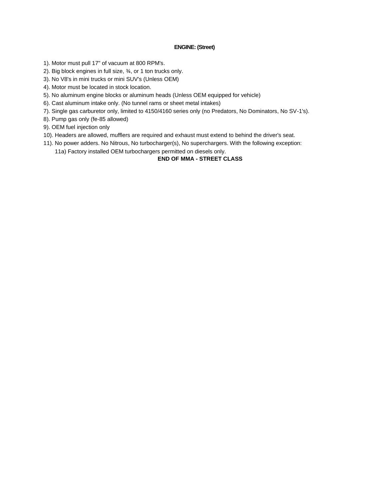## **ENGINE: (Street)**

- 1). Motor must pull 17" of vacuum at 800 RPM's.
- 2). Big block engines in full size, ¾, or 1 ton trucks only.
- 3). No V8's in mini trucks or mini SUV's (Unless OEM)
- 4). Motor must be located in stock location.
- 5). No aluminum engine blocks or aluminum heads (Unless OEM equipped for vehicle)
- 6). Cast aluminum intake only. (No tunnel rams or sheet metal intakes)
- 7). Single gas carburetor only, limited to 4150/4160 series only (no Predators, No Dominators, No SV-1's).
- 8). Pump gas only (fe-85 allowed)
- 9). OEM fuel injection only
- 10). Headers are allowed, mufflers are required and exhaust must extend to behind the driver's seat.
- 11). No power adders. No Nitrous, No turbocharger(s), No superchargers. With the following exception: 11a) Factory installed OEM turbochargers permitted on diesels only.

## **END OF MMA - STREET CLASS**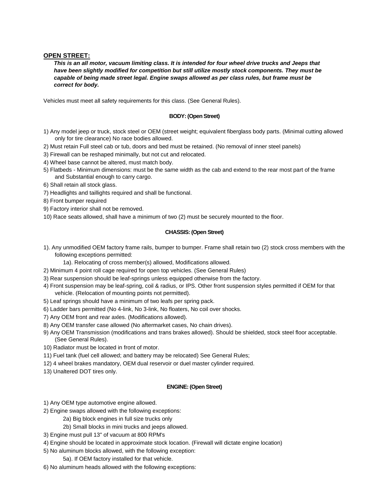## **OPEN STREET:**

*This is an all motor, vacuum limiting class. It is intended for four wheel drive trucks and Jeeps that have been slightly modified for competition but still utilize mostly stock components. They must be capable of being made street legal. Engine swaps allowed as per class rules, but frame must be correct for body.* 

Vehicles must meet all safety requirements for this class. (See General Rules).

#### **BODY: (Open Street)**

- 1) Any model jeep or truck, stock steel or OEM (street weight; equivalent fiberglass body parts. (Minimal cutting allowed only for tire clearance) No race bodies allowed.
- 2) Must retain Full steel cab or tub, doors and bed must be retained. (No removal of inner steel panels)
- 3) Firewall can be reshaped minimally, but not cut and relocated.
- 4) Wheel base cannot be altered, must match body.
- 5) Flatbeds Minimum dimensions: must be the same width as the cab and extend to the rear most part of the frame and Substantial enough to carry cargo.
- 6) Shall retain all stock glass.
- 7) Headlights and taillights required and shall be functional.
- 8) Front bumper required
- 9) Factory interior shall not be removed.
- 10) Race seats allowed, shall have a minimum of two (2) must be securely mounted to the floor.

## **CHASSIS: (Open Street)**

- 1). Any unmodified OEM factory frame rails, bumper to bumper. Frame shall retain two (2) stock cross members with the following exceptions permitted:
	- 1a). Relocating of cross member(s) allowed, Modifications allowed.
- 2) Minimum 4 point roll cage required for open top vehicles. (See General Rules)
- 3) Rear suspension should be leaf-springs unless equipped otherwise from the factory.
- 4) Front suspension may be leaf-spring, coil & radius, or IPS. Other front suspension styles permitted if OEM for that vehicle. (Relocation of mounting points not permitted).
- 5) Leaf springs should have a minimum of two leafs per spring pack.
- 6) Ladder bars permitted (No 4-link, No 3-link, No floaters, No coil over shocks.
- 7) Any OEM front and rear axles. (Modifications allowed).
- 8) Any OEM transfer case allowed (No aftermarket cases, No chain drives).
- 9) Any OEM Transmission (modifications and trans brakes allowed). Should be shielded, stock steel floor acceptable. (See General Rules).
- 10) Radiator must be located in front of motor.
- 11) Fuel tank (fuel cell allowed; and battery may be relocated) See General Rules;
- 12) 4 wheel brakes mandatory, OEM dual reservoir or duel master cylinder required.
- 13) Unaltered DOT tires only.

#### **ENGINE: (Open Street)**

- 1) Any OEM type automotive engine allowed.
- 2) Engine swaps allowed with the following exceptions:
	- 2a) Big block engines in full size trucks only
	- 2b) Small blocks in mini trucks and jeeps allowed.
- 3) Engine must pull 13" of vacuum at 800 RPM's
- 4) Engine should be located in approximate stock location. (Firewall will dictate engine location)
- 5) No aluminum blocks allowed, with the following exception:
	- 5a). If OEM factory installed for that vehicle.
- 6) No aluminum heads allowed with the following exceptions: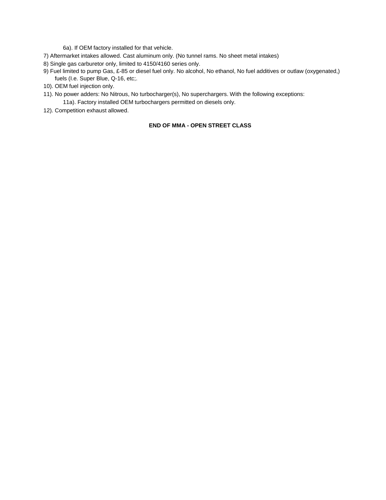6a). If OEM factory installed for that vehicle.

- 7) Aftermarket intakes allowed. Cast aluminum only. (No tunnel rams. No sheet metal intakes)
- 8) Single gas carburetor only, limited to 4150/4160 series only.
- 9) Fuel limited to pump Gas, £-85 or diesel fuel only. No alcohol, No ethanol, No fuel additives or outlaw (oxygenated,) fuels (I.e. Super Blue, Q-16, etc;.
- 10). OEM fuel injection only.
- 11). No power adders: No Nitrous, No turbocharger(s), No superchargers. With the following exceptions: 11a). Factory installed OEM turbochargers permitted on diesels only.
- 12). Competition exhaust allowed.

## **END OF MMA - OPEN STREET CLASS**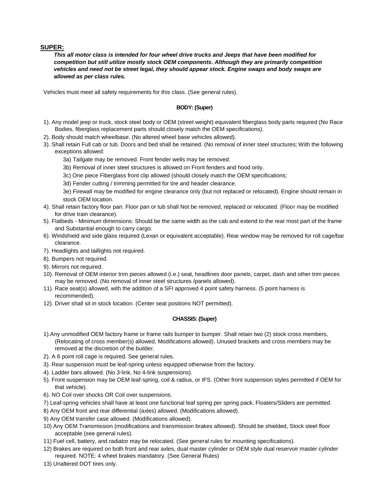## **SUPER:**

*This all motor class is intended for four wheel drive trucks and Jeeps that have been modified for competition but still utilize mostly stock OEM components. Although they are primarily competition vehicles and need not be street legal, they should appear stock. Engine swaps and body swaps are allowed as per class rules.* 

Vehicles must meet all safety requirements for this class. (See general rules).

#### **BODY: (Super)**

- 1). Any model jeep or truck, stock steel body or OEM (street weight) equivalent fiberglass body parts required (No Race Bodies, fiberglass replacement parts should closely match the OEM specifications).
- 2). Body should match wheelbase. (No altered wheel base vehicles allowed).
- 3). Shall retain Full cab or tub. Doors and bed shall be retained. (No removal of inner steel structures; With the following exceptions allowed:
	- 3a) Tailgate may be removed. Front fender wells may be removed.
	- 3b) Removal of inner steel structures is allowed on Front fenders and hood only.
	- 3c) One piece Fiberglass front clip allowed (should closely match the OEM specifications;
	- 3d) Fender cutting / trimming permitted for tire and header clearance.
	- 3e) Firewall may be modified for engine clearance only (but not replaced or relocated). Engine should remain in stock OEM location.
- 4). Shall retain factory floor pan. Floor pan or tub shall Not be removed, replaced or relocated. (Floor may be modified for drive train clearance).
- 5). Flatbeds Minimum dimensions: Should be the same width as the cab and extend to the rear most part of the frame and Substantial enough to carry cargo.
- 6). Windshield and side glass required (Lexan or equivalent acceptable). Rear window may be removed for roll cage/bar clearance.
- 7). Headlights and taillights not required.
- 8). Bumpers not required.
- 9). Mirrors not required.
- 10). Removal of OEM interior trim pieces allowed (i.e.) seat, headlines door panels, carpet, dash and other trim pieces may be removed. (No removal of inner steel structures /panels allowed).
- 11). Race seat(s) allowed, with the addition of a SFI approved 4 point safety harness. (5 point harness is recommended).
- 12). Driver shall sit in stock location. (Center seat positions NOT permitted).

#### **CHASSIS: (Super)**

- 1).Any unmodified OEM factory frame or frame rails bumper to bumper. Shall retain two (2) stock cross members, (Relocating of cross member(s) allowed, Modifications allowed). Unused brackets and cross members may be removed at the discretion of the builder.
- 2). A 6 point roll cage is required. See general rules.
- 3). Rear suspension must be leaf-spring unless equipped otherwise from the factory.
- 4). Ladder bars allowed. (No 3-link, No 4-link suspensions).
- 5). Front suspension may be OEM leaf-spring, coil & radius, or IFS. (Other front suspension styles permitted if OEM for that vehicle).
- 6). NO Coil over shocks OR Coil over suspensions.
- 7) Leaf-spring vehicles shall have at least one functional leaf spring per spring pack. Floaters/Sliders are permitted.
- 8) Any OEM front and rear differential (axles) allowed. (Modifications allowed).
- 9) Any OEM transfer case allowed. (Modifications allowed).
- 10) Any OEM Transmission (modifications and transmission brakes allowed). Should be shielded, Stock steel floor acceptable (see general rules).
- 11) Fuel cell, battery, and radiator may be relocated. (See general rules for mounting specifications).
- 12) Brakes are required on both front and rear axles, dual master cylinder or OEM style dual reservoir master cylinder required. NOTE: 4 wheel brakes mandatory. (See General Rules)
- 13) Unaltered DOT tires only.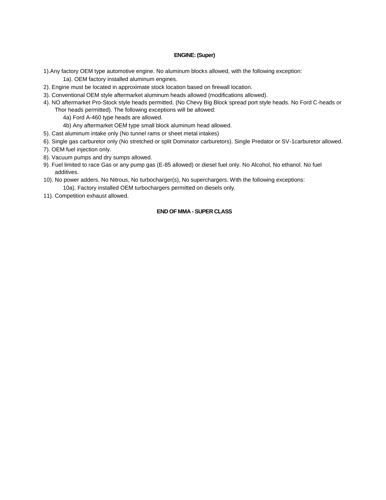## **ENGINE: (Super)**

- 1).Any factory OEM type automotive engine. No aluminum blocks allowed, with the following exception:
	- 1a). OEM factory installed aluminum engines.
- 2). Engine must be located in approximate stock location based on firewall location.
- 3). Conventional OEM style aftermarket aluminum heads allowed (modifications allowed).
- 4). NO aftermarket Pro-Stock style heads permitted. (No Chevy Big Block spread port style heads. No Ford C-heads or Thor heads permitted). The following exceptions will be allowed:
	- 4a) Ford A-460 type heads are allowed.
	- 4b) Any aftermarket OEM type small block aluminum head allowed.
- 5). Cast aluminum intake only (No tunnel rams or sheet metal intakes)
- 6). Single gas carburetor only (No stretched or split Dominator carburetors). Single Predator or SV-1carburetor allowed.
- 7). OEM fuel injection only.
- 8). Vacuum pumps and dry sumps allowed.
- 9). Fuel limited to race Gas or any pump gas (E-85 allowed) or diesel fuel only. No Alcohol, No ethanol. No fuel additives.
- 10). No power adders. No Nitrous, No turbocharger(s), No superchargers. With the following exceptions: 10a). Factory installed OEM turbochargers permitted on diesels only.
- 11). Competition exhaust allowed.

## **END OF MMA - SUPER CLASS**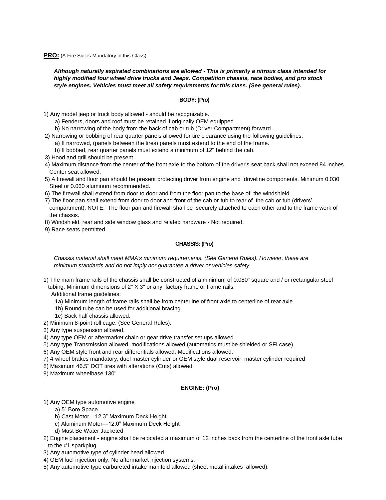**PRO:** (A Fire Suit is Mandatory in this Class)

*Although naturally aspirated combinations are allowed - This is primarily a nitrous class intended for highly modified four wheel drive trucks and Jeeps. Competition chassis, race bodies, and pro stock style engines. Vehicles must meet all safety requirements for this class. (See general rules).* 

#### **BODY: (Pro)**

- 1) Any model jeep or truck body allowed should be recognizable.
	- a) Fenders, doors and roof must be retained if originally OEM equipped.
	- b) No narrowing of the body from the back of cab or tub (Driver Compartment) forward.
- 2) Narrowing or bobbing of rear quarter panels allowed for tire clearance using the following guidelines.
	- a) If narrowed, (panels between the tires) panels must extend to the end of the frame.
	- b) If bobbed, rear quarter panels must extend a minimum of 12" behind the cab.
- 3) Hood and grill should be present.
- 4) Maximum distance from the center of the front axle to the bottom of the driver's seat back shall not exceed 84 inches. Center seat allowed.
- 5) A firewall and floor pan should be present protecting driver from engine and driveline components. Minimum 0.030 Steel or 0.060 aluminum recommended.
- 6) The firewall shall extend from door to door and from the floor pan to the base of the windshield.
- 7) The floor pan shall extend from door to door and front of the cab or tub to rear of the cab or tub (drivers' compartment). NOTE: The floor pan and firewall shall be securely attached to each other and to the frame work of the chassis.
- 8) Windshield, rear and side window glass and related hardware Not required.
- 9) Race seats permitted.

## **CHASSIS: (Pro)**

*Chassis material shall meet MMA's minimum requirements. (See General Rules). However, these are minimum standards and do not imply nor guarantee a driver or vehicles safety.* 

1) The main frame rails of the chassis shall be constructed of a minimum of 0.080" square and / or rectangular steel tubing. Minimum dimensions of 2" X 3" or any factory frame or frame rails.

Additional frame guidelines:

- 1a) Minimum length of frame rails shall be from centerline of front axle to centerline of rear axle.
- 1b) Round tube can be used for additional bracing.
- 1c) Back half chassis allowed.
- 2) Minimum 8-point roll cage. (See General Rules).
- 3) Any type suspension allowed.
- 4) Any type OEM or aftermarket chain or gear drive transfer set ups allowed.
- 5) Any type Transmission allowed, modifications allowed (automatics must be shielded or SFI case)
- 6) Any OEM style front and rear differentials allowed. Modifications allowed.
- 7) 4-wheel brakes mandatory, duel master cylinder or OEM style dual reservoir master cylinder required
- 8) Maximum 46.5" DOT tires with alterations (Cuts) allowed
- 9) Maximum wheelbase 130"

#### **ENGINE: (Pro)**

1) Any OEM type automotive engine

- a) 5" Bore Space
- b) Cast Motor—12.3" Maximum Deck Height
- c) Aluminum Motor—12.0" Maximum Deck Height
- d) Must Be Water Jacketed
- 2) Engine placement engine shall be relocated a maximum of 12 inches back from the centerline of the front axle tube to the #1 sparkplug.
- 3) Any automotive type of cylinder head allowed.
- 4) OEM fuel injection only. No aftermarket injection systems.
- 5) Any automotive type carbureted intake manifold allowed (sheet metal intakes allowed).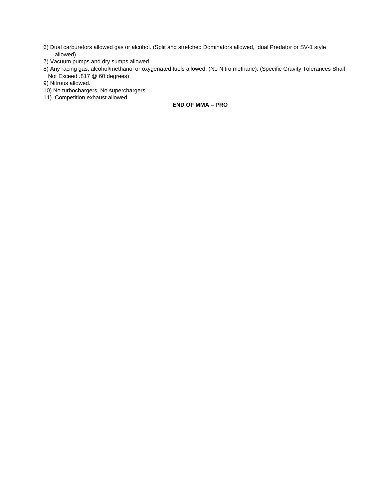- 6) Dual carburetors allowed gas or alcohol. (Split and stretched Dominators allowed, dual Predator or SV-1 style allowed)
- 7) Vacuum pumps and dry sumps allowed
- 8) Any racing gas, alcohol/methanol or oxygenated fuels allowed. (No Nitro methane). (Specific Gravity Tolerances Shall Not Exceed .817 @ 60 degrees)
- 9) Nitrous allowed.
- 10) No turbochargers, No superchargers.
- 11). Competition exhaust allowed.

**END OF MMA – PRO**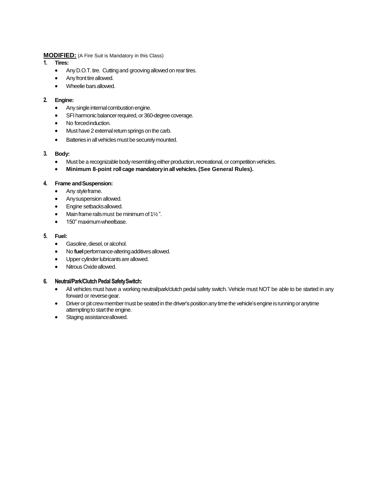## **MODIFIED:** (A Fire Suit is Mandatory in this Class)

- **1. Tires:**
	- Any D.O.T. tire. Cutting and grooving allowed on rear tires.
	- Any front tire allowed.
	- Wheelie bars allowed.

## **2. Engine:**

- Any single internal combustion engine.
- SFI harmonic balancer required, or 360-degree coverage.
- No forcedinduction.
- Must have 2 external return springs on the carb.
- Batteries in all vehicles must be securely mounted.

## **3. Body:**

- Must be a recognizable body resembling either production, recreational, or competition vehicles.
- **Minimum 8-point rollcage mandatoryinallvehicles. (See General Rules).**

#### **4. Frame andSuspension:**

- Any styleframe.
- Anysuspension allowed.
- Engine setbacksallowed.
- Main frame rails must be minimum of 1½".
- 150" maximumwheelbase.

## **5. Fuel:**

- Gasoline, diesel, or alcohol.
- No fuel performance-altering additives allowed.
- Upper cylinder lubricants are allowed.
- Nitrous Oxide allowed.

#### **6. Neutral/Park/Clutch Pedal SafetySwitch:**

- All vehicles must have a working neutral/park/clutch pedal safety switch. Vehicle must NOT be able to be started in any forward or reverse gear.
- Driver or pit crew member must be seated in the driver's position any time the vehicle's engine is running or anytime attempting to start the engine.
- Staging assistanceallowed.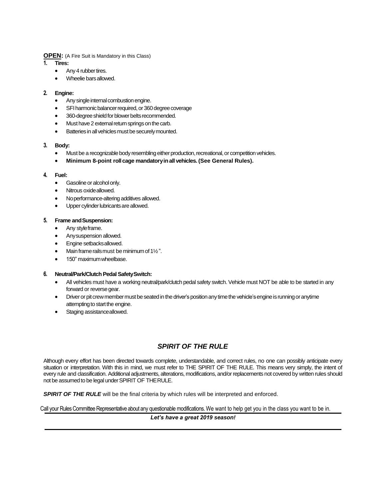**OPEN:** (A Fire Suit is Mandatory in this Class)

- **1. Tires:**
	- Any 4 rubber tires.
	- Wheelie bars allowed.

## **2. Engine:**

- Any single internal combustion engine.
- SFI harmonic balancer required, or 360 degree coverage
- 360-degree shield for blower belts recommended.
- Must have 2 external return springs on the carb.
- Batteries in all vehicles must be securely mounted.

## **3. Body:**

- Must be a recognizable body resembling either production, recreational, or competition vehicles.
- **Minimum 8-point rollcage mandatoryinallvehicles. (See General Rules).**

#### **4. Fuel:**

- Gasoline or alcohol only.
- Nitrous oxideallowed.
- Noperformance-altering additives allowed.
- Upper cylinder lubricants are allowed.

#### **5. Frame andSuspension:**

- Any styleframe.
- Anysuspension allowed.
- Engine setbacksallowed.
- Main frame rails must be minimum of  $1\frac{1}{2}$ ".
- 150" maximumwheelbase.

#### **6. Neutral/Park/Clutch Pedal SafetySwitch:**

- All vehicles must have a working neutral/park/clutch pedal safety switch. Vehicle must NOT be able to be started in any forward or reverse gear.
- Driver or pit crew member must be seated in the driver's position any time the vehicle's engine is running or anytime attempting to start the engine.
- Staging assistanceallowed.

# *SPIRIT OF THE RULE*

Although every effort has been directed towards complete, understandable, and correct rules, no one can possibly anticipate every situation or interpretation. With this in mind, we must refer to THE SPIRIT OF THE RULE. This means very simply, the intent of every rule and classification. Additional adjustments, alterations, modifications, and/or replacements not covered by written rules should not be assumed to be legal under SPIRIT OF THE RULE.

**SPIRIT OF THE RULE** will be the final criteria by which rules will be interpreted and enforced.

Call your Rules Committee Representative about any questionable modifications. We want to help get you in the class you want to be in.

*Let's have a great 2019 season!*